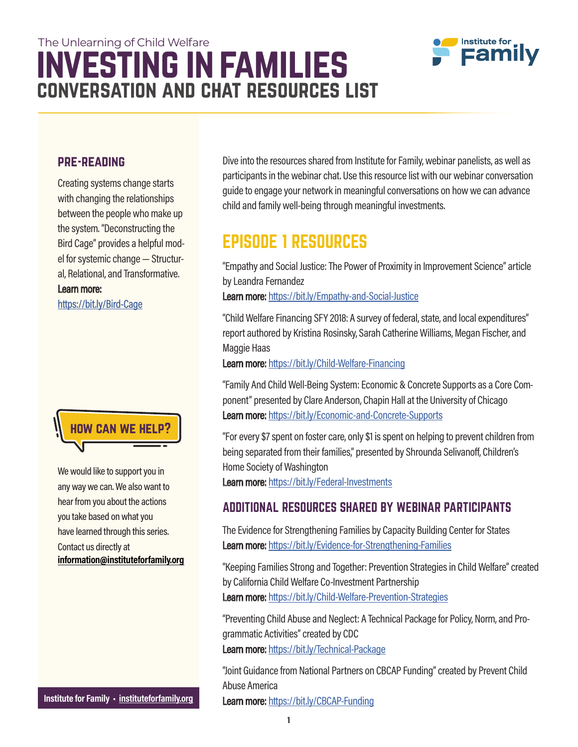## investing in families The Unlearning of Child Welfare conversation and chat resources list



#### pre-reading

Creating systems change starts with changing the relationships between the people who make up the system. "Deconstructing the Bird Cage" provides a helpful model for systemic change — Structural, Relational, and Transformative. Learn more: https://bit.ly/Bird-Cage



We would like to support you in any way we can. We also want to hear from you about the actions you take based on what you have learned through this series. Contact us directly at information@instituteforfamily.org

Institute for Family · instituteforfamily.org

Dive into the resources shared from Institute for Family, webinar panelists, as well as participants in the webinar chat. Use this resource list with our webinar conversation guide to engage your network in meaningful conversations on how we can advance child and family well-being through meaningful investments.

### EPISODE 1 RESOURCES

"Empathy and Social Justice: The Power of Proximity in Improvement Science" article by Leandra Fernandez

Learn more: https://bit.ly/Empathy-and-Social-Justice

"Child Welfare Financing SFY 2018: A survey of federal, state, and local expenditures" report authored by Kristina Rosinsky, Sarah Catherine Williams, Megan Fischer, and Maggie Haas

Learn more: https://bit.ly/Child-Welfare-Financing

"Family And Child Well-Being System: Economic & Concrete Supports as a Core Component" presented by Clare Anderson, Chapin Hall at the University of Chicago Learn more: https://bit.ly/Economic-and-Concrete-Supports

"For every \$7 spent on foster care, only \$1 is spent on helping to prevent children from being separated from their families," presented by Shrounda Selivanoff, Children's Home Society of Washington Learn more: https://bit.ly/Federal-Investments

#### ADDITIONAL RESOURCES SHARED BY WEBINAR PARTICIPANTS

The Evidence for Strengthening Families by Capacity Building Center for States Learn more: https://bit.ly/Evidence-for-Strengthening-Families

"Keeping Families Strong and Together: Prevention Strategies in Child Welfare" created by California Child Welfare Co-Investment Partnership Learn more: https://bit.ly/Child-Welfare-Prevention-Strategies

"Preventing Child Abuse and Neglect: A Technical Package for Policy, Norm, and Programmatic Activities" created by CDC Learn more: https://bit.ly/Technical-Package

"Joint Guidance from National Partners on CBCAP Funding" created by Prevent Child Abuse America

Learn more: https://bit.ly/CBCAP-Funding